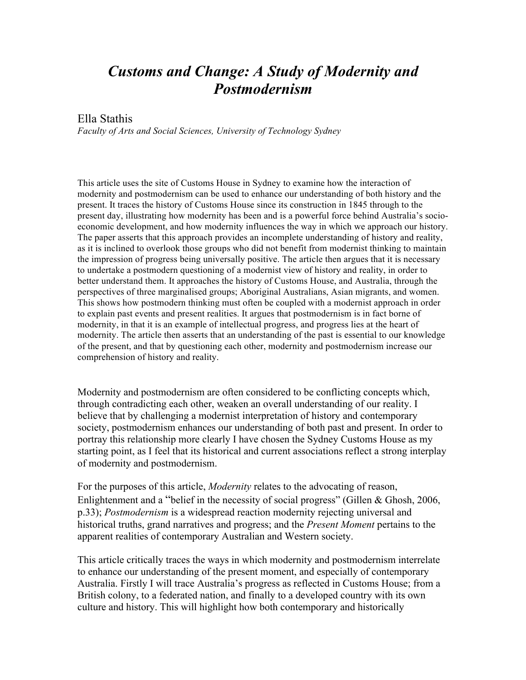# *Customs and Change: A Study of Modernity and Postmodernism*

#### Ella Stathis

*Faculty of Arts and Social Sciences, University of Technology Sydney*

This article uses the site of Customs House in Sydney to examine how the interaction of modernity and postmodernism can be used to enhance our understanding of both history and the present. It traces the history of Customs House since its construction in 1845 through to the present day, illustrating how modernity has been and is a powerful force behind Australia's socioeconomic development, and how modernity influences the way in which we approach our history. The paper asserts that this approach provides an incomplete understanding of history and reality, as it is inclined to overlook those groups who did not benefit from modernist thinking to maintain the impression of progress being universally positive. The article then argues that it is necessary to undertake a postmodern questioning of a modernist view of history and reality, in order to better understand them. It approaches the history of Customs House, and Australia, through the perspectives of three marginalised groups; Aboriginal Australians, Asian migrants, and women. This shows how postmodern thinking must often be coupled with a modernist approach in order to explain past events and present realities. It argues that postmodernism is in fact borne of modernity, in that it is an example of intellectual progress, and progress lies at the heart of modernity. The article then asserts that an understanding of the past is essential to our knowledge of the present, and that by questioning each other, modernity and postmodernism increase our comprehension of history and reality.

Modernity and postmodernism are often considered to be conflicting concepts which, through contradicting each other, weaken an overall understanding of our reality. I believe that by challenging a modernist interpretation of history and contemporary society, postmodernism enhances our understanding of both past and present. In order to portray this relationship more clearly I have chosen the Sydney Customs House as my starting point, as I feel that its historical and current associations reflect a strong interplay of modernity and postmodernism.

For the purposes of this article, *Modernity* relates to the advocating of reason, Enlightenment and a "belief in the necessity of social progress" (Gillen  $&$  Ghosh, 2006, p.33); *Postmodernism* is a widespread reaction modernity rejecting universal and historical truths, grand narratives and progress; and the *Present Moment* pertains to the apparent realities of contemporary Australian and Western society.

This article critically traces the ways in which modernity and postmodernism interrelate to enhance our understanding of the present moment, and especially of contemporary Australia. Firstly I will trace Australia's progress as reflected in Customs House; from a British colony, to a federated nation, and finally to a developed country with its own culture and history. This will highlight how both contemporary and historically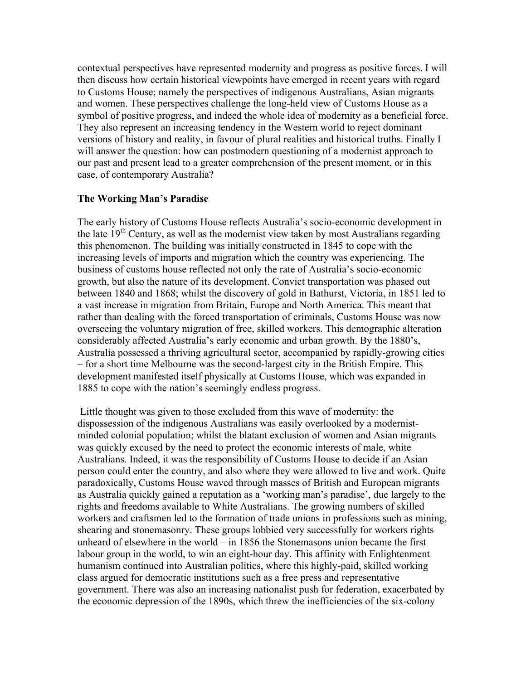contextual perspectives have represented modernity and progress as positive forces. I will then discuss how certain historical viewpoints have emerged in recent years with regard to Customs House; namely the perspectives of indigenous Australians, Asian migrants and women. These perspectives challenge the long-held view of Customs House as a symbol of positive progress, and indeed the whole idea of modernity as a beneficial force. They also represent an increasing tendency in the Western world to reject dominant versions of history and reality, in favour of plural realities and historical truths. Finally I will answer the question: how can postmodern questioning of a modernist approach to our past and present lead to a greater comprehension of the present moment, or in this case, of contemporary Australia?

## **The Working Man's Paradise**

The early history of Customs House reflects Australia's socio-economic development in the late 19<sup>th</sup> Century, as well as the modernist view taken by most Australians regarding this phenomenon. The building was initially constructed in 1845 to cope with the increasing levels of imports and migration which the country was experiencing. The business of customs house reflected not only the rate of Australia's socio-economic growth, but also the nature of its development. Convict transportation was phased out between 1840 and 1868; whilst the discovery of gold in Bathurst, Victoria, in 1851 led to a vast increase in migration from Britain, Europe and North America. This meant that rather than dealing with the forced transportation of criminals, Customs House was now overseeing the voluntary migration of free, skilled workers. This demographic alteration considerably affected Australia's early economic and urban growth. By the 1880's, Australia possessed a thriving agricultural sector, accompanied by rapidly-growing cities – for a short time Melbourne was the second-largest city in the British Empire. This development manifested itself physically at Customs House, which was expanded in 1885 to cope with the nation's seemingly endless progress.

Little thought was given to those excluded from this wave of modernity: the dispossession of the indigenous Australians was easily overlooked by a modernistminded colonial population; whilst the blatant exclusion of women and Asian migrants was quickly excused by the need to protect the economic interests of male, white Australians. Indeed, it was the responsibility of Customs House to decide if an Asian person could enter the country, and also where they were allowed to live and work. Quite paradoxically, Customs House waved through masses of British and European migrants as Australia quickly gained a reputation as a 'working man's paradise', due largely to the rights and freedoms available to White Australians. The growing numbers of skilled workers and craftsmen led to the formation of trade unions in professions such as mining, shearing and stonemasonry. These groups lobbied very successfully for workers rights unheard of elsewhere in the world – in 1856 the Stonemasons union became the first labour group in the world, to win an eight-hour day. This affinity with Enlightenment humanism continued into Australian politics, where this highly-paid, skilled working class argued for democratic institutions such as a free press and representative government. There was also an increasing nationalist push for federation, exacerbated by the economic depression of the 1890s, which threw the inefficiencies of the six-colony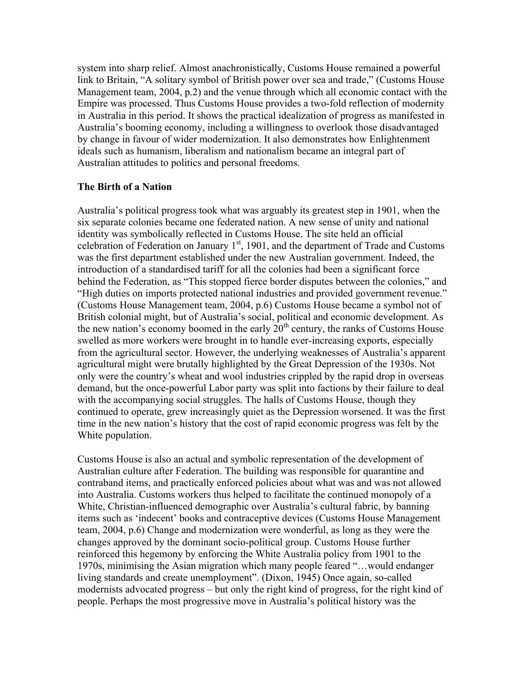system into sharp relief. Almost anachronistically, Customs House remained a powerful link to Britain, "A solitary symbol of British power over sea and trade," (Customs House Management team, 2004, p.2) and the venue through which all economic contact with the Empire was processed. Thus Customs House provides a two-fold reflection of modernity in Australia in this period. It shows the practical idealization of progress as manifested in Australia's booming economy, including a willingness to overlook those disadvantaged by change in favour of wider modernization. It also demonstrates how Enlightenment ideals such as humanism, liberalism and nationalism became an integral part of Australian attitudes to politics and personal freedoms.

### **The Birth of a Nation**

Australia's political progress took what was arguably its greatest step in 1901, when the six separate colonies became one federated nation. A new sense of unity and national identity was symbolically reflected in Customs House. The site held an official celebration of Federation on January  $1<sup>st</sup>$ , 1901, and the department of Trade and Customs was the first department established under the new Australian government. Indeed, the introduction of a standardised tariff for all the colonies had been a significant force behind the Federation, as "This stopped fierce border disputes between the colonies," and "High duties on imports protected national industries and provided government revenue." (Customs House Management team, 2004, p.6) Customs House became a symbol not of British colonial might, but of Australia's social, political and economic development. As the new nation's economy boomed in the early  $20<sup>th</sup>$  century, the ranks of Customs House swelled as more workers were brought in to handle ever-increasing exports, especially from the agricultural sector. However, the underlying weaknesses of Australia's apparent agricultural might were brutally highlighted by the Great Depression of the 1930s. Not only were the country's wheat and wool industries crippled by the rapid drop in overseas demand, but the once-powerful Labor party was split into factions by their failure to deal with the accompanying social struggles. The halls of Customs House, though they continued to operate, grew increasingly quiet as the Depression worsened. It was the first time in the new nation's history that the cost of rapid economic progress was felt by the White population.

Customs House is also an actual and symbolic representation of the development of Australian culture after Federation. The building was responsible for quarantine and contraband items, and practically enforced policies about what was and was not allowed into Australia. Customs workers thus helped to facilitate the continued monopoly of a White, Christian-influenced demographic over Australia's cultural fabric, by banning items such as 'indecent' books and contraceptive devices (Customs House Management team, 2004, p.6) Change and modernization were wonderful, as long as they were the changes approved by the dominant socio-political group. Customs House further reinforced this hegemony by enforcing the White Australia policy from 1901 to the 1970s, minimising the Asian migration which many people feared "…would endanger living standards and create unemployment". (Dixon, 1945) Once again, so-called modernists advocated progress – but only the right kind of progress, for the right kind of people. Perhaps the most progressive move in Australia's political history was the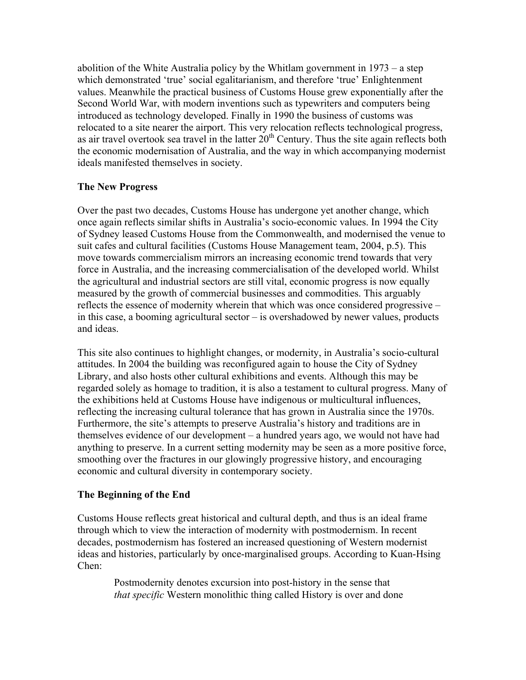abolition of the White Australia policy by the Whitlam government in 1973 – a step which demonstrated 'true' social egalitarianism, and therefore 'true' Enlightenment values. Meanwhile the practical business of Customs House grew exponentially after the Second World War, with modern inventions such as typewriters and computers being introduced as technology developed. Finally in 1990 the business of customs was relocated to a site nearer the airport. This very relocation reflects technological progress, as air travel overtook sea travel in the latter  $20^{th}$  Century. Thus the site again reflects both the economic modernisation of Australia, and the way in which accompanying modernist ideals manifested themselves in society.

## **The New Progress**

Over the past two decades, Customs House has undergone yet another change, which once again reflects similar shifts in Australia's socio-economic values. In 1994 the City of Sydney leased Customs House from the Commonwealth, and modernised the venue to suit cafes and cultural facilities (Customs House Management team, 2004, p.5). This move towards commercialism mirrors an increasing economic trend towards that very force in Australia, and the increasing commercialisation of the developed world. Whilst the agricultural and industrial sectors are still vital, economic progress is now equally measured by the growth of commercial businesses and commodities. This arguably reflects the essence of modernity wherein that which was once considered progressive – in this case, a booming agricultural sector – is overshadowed by newer values, products and ideas.

This site also continues to highlight changes, or modernity, in Australia's socio-cultural attitudes. In 2004 the building was reconfigured again to house the City of Sydney Library, and also hosts other cultural exhibitions and events. Although this may be regarded solely as homage to tradition, it is also a testament to cultural progress. Many of the exhibitions held at Customs House have indigenous or multicultural influences, reflecting the increasing cultural tolerance that has grown in Australia since the 1970s. Furthermore, the site's attempts to preserve Australia's history and traditions are in themselves evidence of our development – a hundred years ago, we would not have had anything to preserve. In a current setting modernity may be seen as a more positive force, smoothing over the fractures in our glowingly progressive history, and encouraging economic and cultural diversity in contemporary society.

## **The Beginning of the End**

Customs House reflects great historical and cultural depth, and thus is an ideal frame through which to view the interaction of modernity with postmodernism. In recent decades, postmodernism has fostered an increased questioning of Western modernist ideas and histories, particularly by once-marginalised groups. According to Kuan-Hsing Chen:

Postmodernity denotes excursion into post-history in the sense that *that specific* Western monolithic thing called History is over and done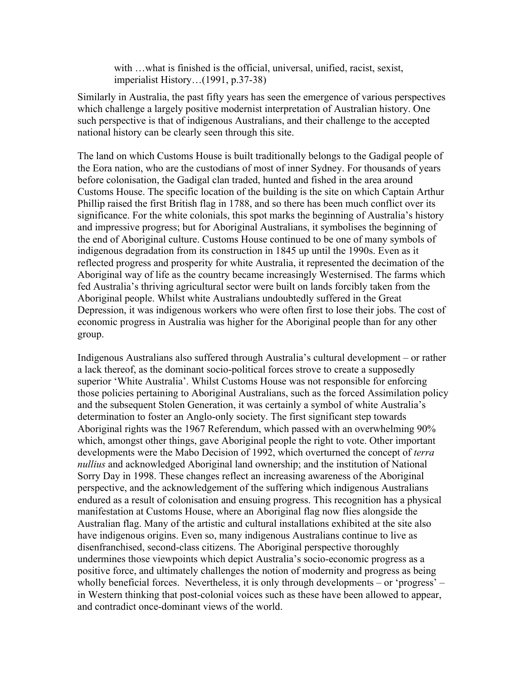with …what is finished is the official, universal, unified, racist, sexist, imperialist History…(1991, p.37-38)

Similarly in Australia, the past fifty years has seen the emergence of various perspectives which challenge a largely positive modernist interpretation of Australian history. One such perspective is that of indigenous Australians, and their challenge to the accepted national history can be clearly seen through this site.

The land on which Customs House is built traditionally belongs to the Gadigal people of the Eora nation, who are the custodians of most of inner Sydney. For thousands of years before colonisation, the Gadigal clan traded, hunted and fished in the area around Customs House. The specific location of the building is the site on which Captain Arthur Phillip raised the first British flag in 1788, and so there has been much conflict over its significance. For the white colonials, this spot marks the beginning of Australia's history and impressive progress; but for Aboriginal Australians, it symbolises the beginning of the end of Aboriginal culture. Customs House continued to be one of many symbols of indigenous degradation from its construction in 1845 up until the 1990s. Even as it reflected progress and prosperity for white Australia, it represented the decimation of the Aboriginal way of life as the country became increasingly Westernised. The farms which fed Australia's thriving agricultural sector were built on lands forcibly taken from the Aboriginal people. Whilst white Australians undoubtedly suffered in the Great Depression, it was indigenous workers who were often first to lose their jobs. The cost of economic progress in Australia was higher for the Aboriginal people than for any other group.

Indigenous Australians also suffered through Australia's cultural development – or rather a lack thereof, as the dominant socio-political forces strove to create a supposedly superior 'White Australia'. Whilst Customs House was not responsible for enforcing those policies pertaining to Aboriginal Australians, such as the forced Assimilation policy and the subsequent Stolen Generation, it was certainly a symbol of white Australia's determination to foster an Anglo-only society. The first significant step towards Aboriginal rights was the 1967 Referendum, which passed with an overwhelming 90% which, amongst other things, gave Aboriginal people the right to vote. Other important developments were the Mabo Decision of 1992, which overturned the concept of *terra nullius* and acknowledged Aboriginal land ownership; and the institution of National Sorry Day in 1998. These changes reflect an increasing awareness of the Aboriginal perspective, and the acknowledgement of the suffering which indigenous Australians endured as a result of colonisation and ensuing progress. This recognition has a physical manifestation at Customs House, where an Aboriginal flag now flies alongside the Australian flag. Many of the artistic and cultural installations exhibited at the site also have indigenous origins. Even so, many indigenous Australians continue to live as disenfranchised, second-class citizens. The Aboriginal perspective thoroughly undermines those viewpoints which depict Australia's socio-economic progress as a positive force, and ultimately challenges the notion of modernity and progress as being wholly beneficial forces. Nevertheless, it is only through developments – or 'progress' – in Western thinking that post-colonial voices such as these have been allowed to appear, and contradict once-dominant views of the world.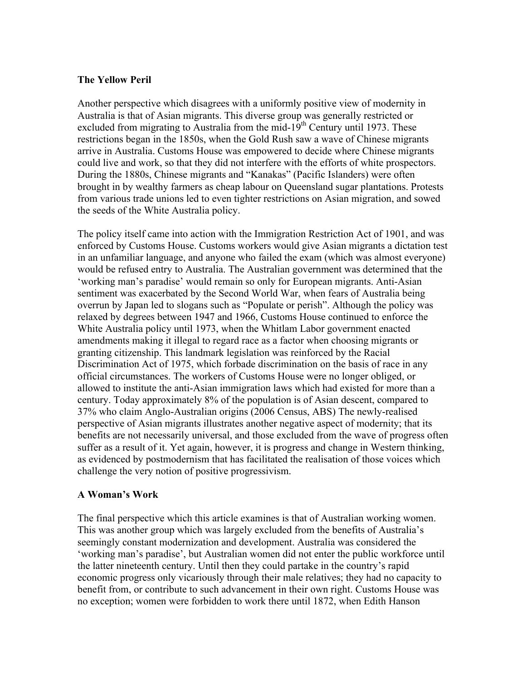## **The Yellow Peril**

Another perspective which disagrees with a uniformly positive view of modernity in Australia is that of Asian migrants. This diverse group was generally restricted or excluded from migrating to Australia from the mid-19<sup>th</sup> Century until 1973. These restrictions began in the 1850s, when the Gold Rush saw a wave of Chinese migrants arrive in Australia. Customs House was empowered to decide where Chinese migrants could live and work, so that they did not interfere with the efforts of white prospectors. During the 1880s, Chinese migrants and "Kanakas" (Pacific Islanders) were often brought in by wealthy farmers as cheap labour on Queensland sugar plantations. Protests from various trade unions led to even tighter restrictions on Asian migration, and sowed the seeds of the White Australia policy.

The policy itself came into action with the Immigration Restriction Act of 1901, and was enforced by Customs House. Customs workers would give Asian migrants a dictation test in an unfamiliar language, and anyone who failed the exam (which was almost everyone) would be refused entry to Australia. The Australian government was determined that the 'working man's paradise' would remain so only for European migrants. Anti-Asian sentiment was exacerbated by the Second World War, when fears of Australia being overrun by Japan led to slogans such as "Populate or perish". Although the policy was relaxed by degrees between 1947 and 1966, Customs House continued to enforce the White Australia policy until 1973, when the Whitlam Labor government enacted amendments making it illegal to regard race as a factor when choosing migrants or granting citizenship. This landmark legislation was reinforced by the Racial Discrimination Act of 1975, which forbade discrimination on the basis of race in any official circumstances. The workers of Customs House were no longer obliged, or allowed to institute the anti-Asian immigration laws which had existed for more than a century. Today approximately 8% of the population is of Asian descent, compared to 37% who claim Anglo-Australian origins (2006 Census, ABS) The newly-realised perspective of Asian migrants illustrates another negative aspect of modernity; that its benefits are not necessarily universal, and those excluded from the wave of progress often suffer as a result of it. Yet again, however, it is progress and change in Western thinking, as evidenced by postmodernism that has facilitated the realisation of those voices which challenge the very notion of positive progressivism.

### **A Woman's Work**

The final perspective which this article examines is that of Australian working women. This was another group which was largely excluded from the benefits of Australia's seemingly constant modernization and development. Australia was considered the 'working man's paradise', but Australian women did not enter the public workforce until the latter nineteenth century. Until then they could partake in the country's rapid economic progress only vicariously through their male relatives; they had no capacity to benefit from, or contribute to such advancement in their own right. Customs House was no exception; women were forbidden to work there until 1872, when Edith Hanson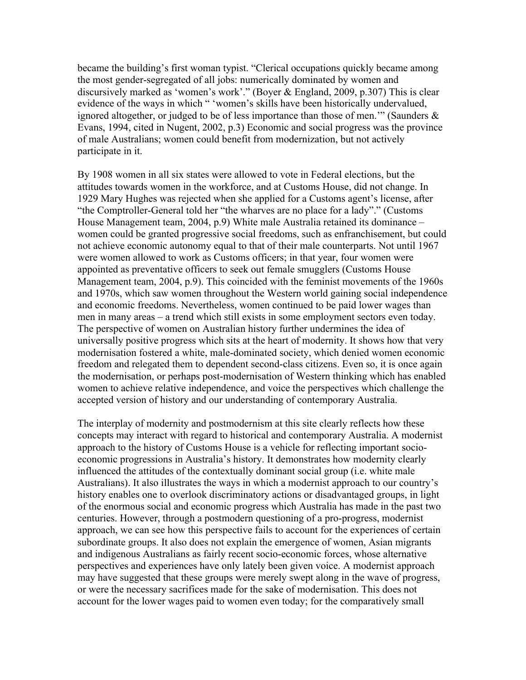became the building's first woman typist. "Clerical occupations quickly became among the most gender-segregated of all jobs: numerically dominated by women and discursively marked as 'women's work'." (Boyer & England, 2009, p.307) This is clear evidence of the ways in which " 'women's skills have been historically undervalued, ignored altogether, or judged to be of less importance than those of men.'" (Saunders & Evans, 1994, cited in Nugent, 2002, p.3) Economic and social progress was the province of male Australians; women could benefit from modernization, but not actively participate in it.

By 1908 women in all six states were allowed to vote in Federal elections, but the attitudes towards women in the workforce, and at Customs House, did not change. In 1929 Mary Hughes was rejected when she applied for a Customs agent's license, after "the Comptroller-General told her "the wharves are no place for a lady"." (Customs House Management team, 2004, p.9) White male Australia retained its dominance – women could be granted progressive social freedoms, such as enfranchisement, but could not achieve economic autonomy equal to that of their male counterparts. Not until 1967 were women allowed to work as Customs officers; in that year, four women were appointed as preventative officers to seek out female smugglers (Customs House Management team, 2004, p.9). This coincided with the feminist movements of the 1960s and 1970s, which saw women throughout the Western world gaining social independence and economic freedoms. Nevertheless, women continued to be paid lower wages than men in many areas – a trend which still exists in some employment sectors even today. The perspective of women on Australian history further undermines the idea of universally positive progress which sits at the heart of modernity. It shows how that very modernisation fostered a white, male-dominated society, which denied women economic freedom and relegated them to dependent second-class citizens. Even so, it is once again the modernisation, or perhaps post-modernisation of Western thinking which has enabled women to achieve relative independence, and voice the perspectives which challenge the accepted version of history and our understanding of contemporary Australia.

The interplay of modernity and postmodernism at this site clearly reflects how these concepts may interact with regard to historical and contemporary Australia. A modernist approach to the history of Customs House is a vehicle for reflecting important socioeconomic progressions in Australia's history. It demonstrates how modernity clearly influenced the attitudes of the contextually dominant social group (i.e. white male Australians). It also illustrates the ways in which a modernist approach to our country's history enables one to overlook discriminatory actions or disadvantaged groups, in light of the enormous social and economic progress which Australia has made in the past two centuries. However, through a postmodern questioning of a pro-progress, modernist approach, we can see how this perspective fails to account for the experiences of certain subordinate groups. It also does not explain the emergence of women, Asian migrants and indigenous Australians as fairly recent socio-economic forces, whose alternative perspectives and experiences have only lately been given voice. A modernist approach may have suggested that these groups were merely swept along in the wave of progress, or were the necessary sacrifices made for the sake of modernisation. This does not account for the lower wages paid to women even today; for the comparatively small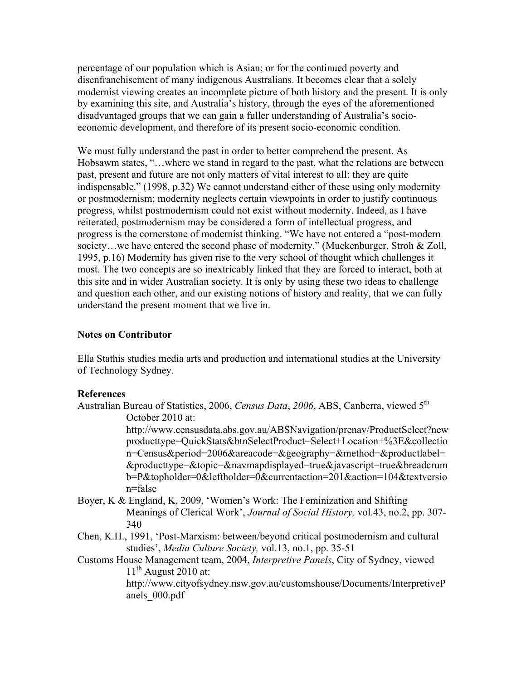percentage of our population which is Asian; or for the continued poverty and disenfranchisement of many indigenous Australians. It becomes clear that a solely modernist viewing creates an incomplete picture of both history and the present. It is only by examining this site, and Australia's history, through the eyes of the aforementioned disadvantaged groups that we can gain a fuller understanding of Australia's socioeconomic development, and therefore of its present socio-economic condition.

We must fully understand the past in order to better comprehend the present. As Hobsawm states, "…where we stand in regard to the past, what the relations are between past, present and future are not only matters of vital interest to all: they are quite indispensable." (1998, p.32) We cannot understand either of these using only modernity or postmodernism; modernity neglects certain viewpoints in order to justify continuous progress, whilst postmodernism could not exist without modernity. Indeed, as I have reiterated, postmodernism may be considered a form of intellectual progress, and progress is the cornerstone of modernist thinking. "We have not entered a "post-modern society…we have entered the second phase of modernity." (Muckenburger, Stroh & Zoll, 1995, p.16) Modernity has given rise to the very school of thought which challenges it most. The two concepts are so inextricably linked that they are forced to interact, both at this site and in wider Australian society. It is only by using these two ideas to challenge and question each other, and our existing notions of history and reality, that we can fully understand the present moment that we live in.

## **Notes on Contributor**

Ella Stathis studies media arts and production and international studies at the University of Technology Sydney.

### **References**

Australian Bureau of Statistics, 2006, *Census Data*, 2006, ABS, Canberra, viewed 5<sup>th</sup> October 2010 at:

> http://www.censusdata.abs.gov.au/ABSNavigation/prenav/ProductSelect?new producttype=QuickStats&btnSelectProduct=Select+Location+%3E&collectio n=Census&period=2006&areacode=&geography=&method=&productlabel= &producttype=&topic=&navmapdisplayed=true&javascript=true&breadcrum b=P&topholder=0&leftholder=0&currentaction=201&action=104&textversio n=false

- Boyer, K & England, K, 2009, 'Women's Work: The Feminization and Shifting Meanings of Clerical Work', *Journal of Social History,* vol.43, no.2, pp. 307- 340
- Chen, K.H., 1991, 'Post-Marxism: between/beyond critical postmodernism and cultural studies', *Media Culture Society,* vol.13, no.1, pp. 35-51
- Customs House Management team, 2004, *Interpretive Panels*, City of Sydney, viewed  $11<sup>th</sup>$  August 2010 at: http://www.cityofsydney.nsw.gov.au/customshouse/Documents/InterpretiveP anels\_000.pdf